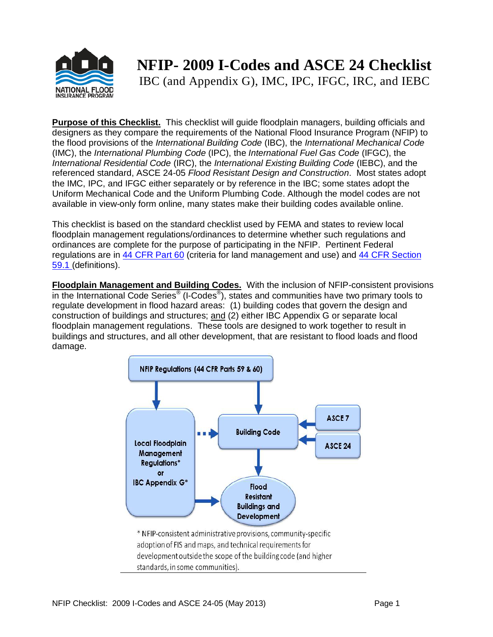

## **NFIP- 2009 I-Codes and ASCE 24 Checklist**

IBC (and Appendix G), IMC, IPC, IFGC, IRC, and IEBC

**Purpose of this Checklist.** This checklist will guide floodplain managers, building officials and designers as they compare the requirements of the National Flood Insurance Program (NFIP) to the flood provisions of the *International Building Code* (IBC), the *International Mechanical Code* (IMC), the *International Plumbing Code* (IPC), the *International Fuel Gas Code* (IFGC), the *International Residential Code* (IRC), the *International Existing Building Code* (IEBC), and the referenced standard, ASCE 24-05 *Flood Resistant Design and Construction*. Most states adopt the IMC, IPC, and IFGC either separately or by reference in the IBC; some states adopt the Uniform Mechanical Code and the Uniform Plumbing Code. Although the model codes are not available in view-only form online, many states make their building codes available online.

This checklist is based on the standard checklist used by FEMA and states to review local floodplain management regulations/ordinances to determine whether such regulations and ordinances are complete for the purpose of participating in the NFIP. Pertinent Federal regulations are in [44 CFR Part 60](http://www.gpo.gov/fdsys/pkg/CFR-2002-title44-vol1/xml/CFR-2002-title44-vol1-part60-subpartA.xml) (criteria for land management and use) and [44 CFR Section](http://www.gpo.gov/fdsys/pkg/CFR-2002-title44-vol1/xml/CFR-2002-title44-vol1-sec59-1.xml)  [59.1](http://www.gpo.gov/fdsys/pkg/CFR-2002-title44-vol1/xml/CFR-2002-title44-vol1-sec59-1.xml) (definitions).

**Floodplain Management and Building Codes.** With the inclusion of NFIP-consistent provisions in the International Code Series® (I-Codes®), states and communities have two primary tools to regulate development in flood hazard areas: (1) building codes that govern the design and construction of buildings and structures; and (2) either IBC Appendix G or separate local floodplain management regulations. These tools are designed to work together to result in buildings and structures, and all other development, that are resistant to flood loads and flood damage.

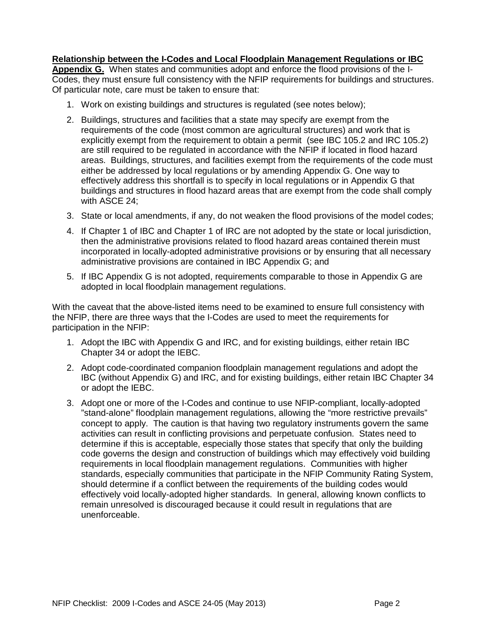## **Relationship between the I-Codes and Local Floodplain Management Regulations or IBC**

**Appendix G.** When states and communities adopt and enforce the flood provisions of the I-Codes, they must ensure full consistency with the NFIP requirements for buildings and structures. Of particular note, care must be taken to ensure that:

- 1. Work on existing buildings and structures is regulated (see notes below);
- 2. Buildings, structures and facilities that a state may specify are exempt from the requirements of the code (most common are agricultural structures) and work that is explicitly exempt from the requirement to obtain a permit (see IBC 105.2 and IRC 105.2) are still required to be regulated in accordance with the NFIP if located in flood hazard areas. Buildings, structures, and facilities exempt from the requirements of the code must either be addressed by local regulations or by amending Appendix G. One way to effectively address this shortfall is to specify in local regulations or in Appendix G that buildings and structures in flood hazard areas that are exempt from the code shall comply with ASCE 24;
- 3. State or local amendments, if any, do not weaken the flood provisions of the model codes;
- 4. If Chapter 1 of IBC and Chapter 1 of IRC are not adopted by the state or local jurisdiction, then the administrative provisions related to flood hazard areas contained therein must incorporated in locally-adopted administrative provisions or by ensuring that all necessary administrative provisions are contained in IBC Appendix G; and
- 5. If IBC Appendix G is not adopted, requirements comparable to those in Appendix G are adopted in local floodplain management regulations.

With the caveat that the above-listed items need to be examined to ensure full consistency with the NFIP, there are three ways that the I-Codes are used to meet the requirements for participation in the NFIP:

- 1. Adopt the IBC with Appendix G and IRC, and for existing buildings, either retain IBC Chapter 34 or adopt the IEBC.
- 2. Adopt code-coordinated companion floodplain management regulations and adopt the IBC (without Appendix G) and IRC, and for existing buildings, either retain IBC Chapter 34 or adopt the IEBC.
- 3. Adopt one or more of the I-Codes and continue to use NFIP-compliant, locally-adopted "stand-alone" floodplain management regulations, allowing the "more restrictive prevails" concept to apply. The caution is that having two regulatory instruments govern the same activities can result in conflicting provisions and perpetuate confusion. States need to determine if this is acceptable, especially those states that specify that only the building code governs the design and construction of buildings which may effectively void building requirements in local floodplain management regulations. Communities with higher standards, especially communities that participate in the NFIP Community Rating System, should determine if a conflict between the requirements of the building codes would effectively void locally-adopted higher standards. In general, allowing known conflicts to remain unresolved is discouraged because it could result in regulations that are unenforceable.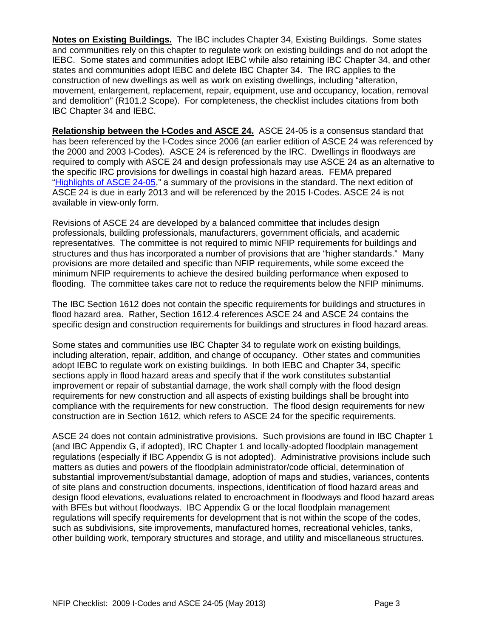**Notes on Existing Buildings.** The IBC includes Chapter 34, Existing Buildings. Some states and communities rely on this chapter to regulate work on existing buildings and do not adopt the IEBC. Some states and communities adopt IEBC while also retaining IBC Chapter 34, and other states and communities adopt IEBC and delete IBC Chapter 34. The IRC applies to the construction of new dwellings as well as work on existing dwellings, including "alteration, movement, enlargement, replacement, repair, equipment, use and occupancy, location, removal and demolition" (R101.2 Scope). For completeness, the checklist includes citations from both IBC Chapter 34 and IEBC.

**Relationship between the I-Codes and ASCE 24.** ASCE 24-05 is a consensus standard that has been referenced by the I-Codes since 2006 (an earlier edition of ASCE 24 was referenced by the 2000 and 2003 I-Codes). ASCE 24 is referenced by the IRC. Dwellings in floodways are required to comply with ASCE 24 and design professionals may use ASCE 24 as an alternative to the specific IRC provisions for dwellings in coastal high hazard areas. FEMA prepared ["Highlights of ASCE 24-05,](http://www.fema.gov/library/viewRecord.do?id=3515)" a summary of the provisions in the standard. The next edition of ASCE 24 is due in early 2013 and will be referenced by the 2015 I-Codes. ASCE 24 is not available in view-only form.

Revisions of ASCE 24 are developed by a balanced committee that includes design professionals, building professionals, manufacturers, government officials, and academic representatives. The committee is not required to mimic NFIP requirements for buildings and structures and thus has incorporated a number of provisions that are "higher standards." Many provisions are more detailed and specific than NFIP requirements, while some exceed the minimum NFIP requirements to achieve the desired building performance when exposed to flooding. The committee takes care not to reduce the requirements below the NFIP minimums.

The IBC Section 1612 does not contain the specific requirements for buildings and structures in flood hazard area. Rather, Section 1612.4 references ASCE 24 and ASCE 24 contains the specific design and construction requirements for buildings and structures in flood hazard areas.

Some states and communities use IBC Chapter 34 to regulate work on existing buildings, including alteration, repair, addition, and change of occupancy. Other states and communities adopt IEBC to regulate work on existing buildings. In both IEBC and Chapter 34, specific sections apply in flood hazard areas and specify that if the work constitutes substantial improvement or repair of substantial damage, the work shall comply with the flood design requirements for new construction and all aspects of existing buildings shall be brought into compliance with the requirements for new construction. The flood design requirements for new construction are in Section 1612, which refers to ASCE 24 for the specific requirements.

ASCE 24 does not contain administrative provisions. Such provisions are found in IBC Chapter 1 (and IBC Appendix G, if adopted), IRC Chapter 1 and locally-adopted floodplain management regulations (especially if IBC Appendix G is not adopted). Administrative provisions include such matters as duties and powers of the floodplain administrator/code official, determination of substantial improvement/substantial damage, adoption of maps and studies, variances, contents of site plans and construction documents, inspections, identification of flood hazard areas and design flood elevations, evaluations related to encroachment in floodways and flood hazard areas with BFEs but without floodways. IBC Appendix G or the local floodplain management regulations will specify requirements for development that is not within the scope of the codes, such as subdivisions, site improvements, manufactured homes, recreational vehicles, tanks, other building work, temporary structures and storage, and utility and miscellaneous structures.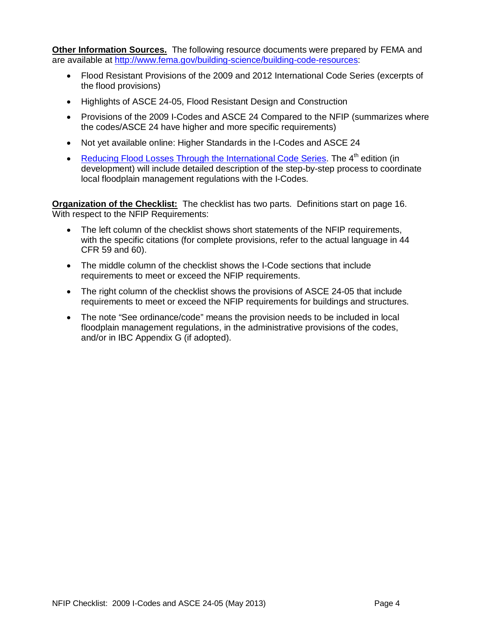**Other Information Sources.** The following resource documents were prepared by FEMA and are available at [http://www.fema.gov/building-science/building-code-resources:](http://www.fema.gov/building-science/building-code-resources)

- Flood Resistant Provisions of the 2009 and 2012 International Code Series (excerpts of the flood provisions)
- Highlights of ASCE 24-05, Flood Resistant Design and Construction
- Provisions of the 2009 I-Codes and ASCE 24 Compared to the NFIP (summarizes where the codes/ASCE 24 have higher and more specific requirements)
- Not yet available online: Higher Standards in the I-Codes and ASCE 24
- [Reducing Flood Losses Through the International Code Series.](http://www.fema.gov/library/viewRecord.do?id=2094) The  $4<sup>th</sup>$  edition (in development) will include detailed description of the step-by-step process to coordinate local floodplain management regulations with the I-Codes.

**Organization of the Checklist:** The checklist has two parts. Definitions start on page 16. With respect to the NFIP Requirements:

- The left column of the checklist shows short statements of the NFIP requirements, with the specific citations (for complete provisions, refer to the actual language in 44 CFR 59 and 60).
- The middle column of the checklist shows the I-Code sections that include requirements to meet or exceed the NFIP requirements.
- The right column of the checklist shows the provisions of ASCE 24-05 that include requirements to meet or exceed the NFIP requirements for buildings and structures.
- The note "See ordinance/code" means the provision needs to be included in local floodplain management regulations, in the administrative provisions of the codes, and/or in IBC Appendix G (if adopted).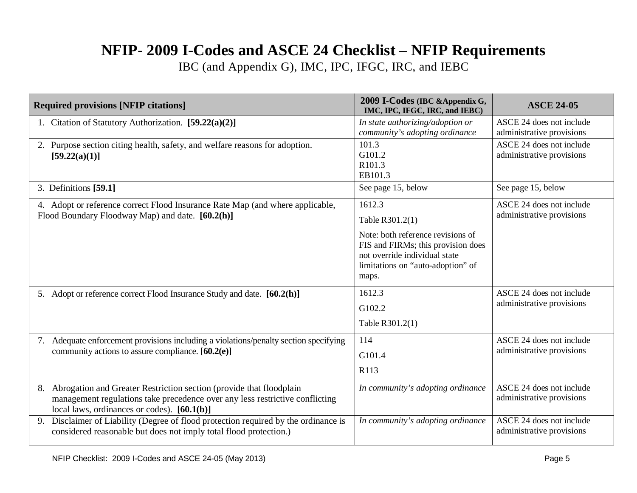## **NFIP- 2009 I-Codes and ASCE 24 Checklist – NFIP Requirements**

IBC (and Appendix G), IMC, IPC, IFGC, IRC, and IEBC

| <b>Required provisions [NFIP citations]</b>                                                                                                                                                                | 2009 I-Codes (IBC & Appendix G,<br>IMC, IPC, IFGC, IRC, and IEBC)                                                                                                                   | <b>ASCE 24-05</b>                                     |
|------------------------------------------------------------------------------------------------------------------------------------------------------------------------------------------------------------|-------------------------------------------------------------------------------------------------------------------------------------------------------------------------------------|-------------------------------------------------------|
| 1. Citation of Statutory Authorization. [59.22(a)(2)]                                                                                                                                                      | In state authorizing/adoption or<br>community's adopting ordinance                                                                                                                  | ASCE 24 does not include<br>administrative provisions |
| Purpose section citing health, safety, and welfare reasons for adoption.<br>[59.22(a)(1)]                                                                                                                  | 101.3<br>G101.2<br>R101.3<br>EB101.3                                                                                                                                                | ASCE 24 does not include<br>administrative provisions |
| 3. Definitions [59.1]                                                                                                                                                                                      | See page 15, below                                                                                                                                                                  | See page 15, below                                    |
| 4. Adopt or reference correct Flood Insurance Rate Map (and where applicable,<br>Flood Boundary Floodway Map) and date. [60.2(h)]                                                                          | 1612.3<br>Table R301.2(1)<br>Note: both reference revisions of<br>FIS and FIRMs; this provision does<br>not override individual state<br>limitations on "auto-adoption" of<br>maps. | ASCE 24 does not include<br>administrative provisions |
| Adopt or reference correct Flood Insurance Study and date. [60.2(h)]<br>5.                                                                                                                                 | 1612.3<br>G102.2<br>Table R301.2(1)                                                                                                                                                 | ASCE 24 does not include<br>administrative provisions |
| Adequate enforcement provisions including a violations/penalty section specifying<br>7.<br>community actions to assure compliance. $[60.2(e)]$                                                             | 114<br>G101.4<br>R113                                                                                                                                                               | ASCE 24 does not include<br>administrative provisions |
| Abrogation and Greater Restriction section (provide that floodplain<br>8.<br>management regulations take precedence over any less restrictive conflicting<br>local laws, ordinances or codes). $[60.1(b)]$ | In community's adopting ordinance                                                                                                                                                   | ASCE 24 does not include<br>administrative provisions |
| Disclaimer of Liability (Degree of flood protection required by the ordinance is<br>9.<br>considered reasonable but does not imply total flood protection.)                                                | In community's adopting ordinance                                                                                                                                                   | ASCE 24 does not include<br>administrative provisions |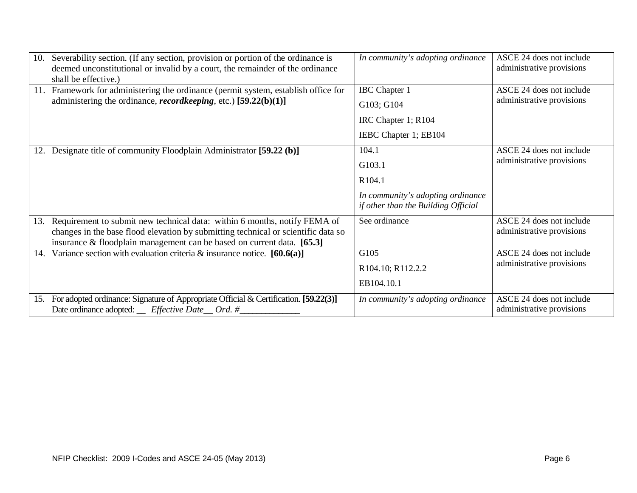| 10. | Severability section. (If any section, provision or portion of the ordinance is<br>deemed unconstitutional or invalid by a court, the remainder of the ordinance                                                                         | In community's adopting ordinance                                                                     | ASCE 24 does not include<br>administrative provisions |
|-----|------------------------------------------------------------------------------------------------------------------------------------------------------------------------------------------------------------------------------------------|-------------------------------------------------------------------------------------------------------|-------------------------------------------------------|
| 11. | shall be effective.)<br>Framework for administering the ordinance (permit system, establish office for<br>administering the ordinance, <i>recordkeeping</i> , etc.) $[59.22(b)(1)]$                                                      | <b>IBC</b> Chapter 1<br>G103; G104<br>IRC Chapter 1; R104<br>IEBC Chapter 1; EB104                    | ASCE 24 does not include<br>administrative provisions |
| 12. | Designate title of community Floodplain Administrator [59.22 (b)]                                                                                                                                                                        | 104.1<br>G103.1<br>R104.1<br>In community's adopting ordinance<br>if other than the Building Official | ASCE 24 does not include<br>administrative provisions |
| 13. | Requirement to submit new technical data: within 6 months, notify FEMA of<br>changes in the base flood elevation by submitting technical or scientific data so<br>insurance & floodplain management can be based on current data. [65.3] | See ordinance                                                                                         | ASCE 24 does not include<br>administrative provisions |
| 14. | Variance section with evaluation criteria & insurance notice. $[60.6(a)]$                                                                                                                                                                | G105<br>R104.10; R112.2.2<br>EB104.10.1                                                               | ASCE 24 does not include<br>administrative provisions |
| 15. | For adopted ordinance: Signature of Appropriate Official & Certification. [59.22(3)]<br>Date ordinance adopted: __ Effective Date __ Ord. #_                                                                                             | In community's adopting ordinance                                                                     | ASCE 24 does not include<br>administrative provisions |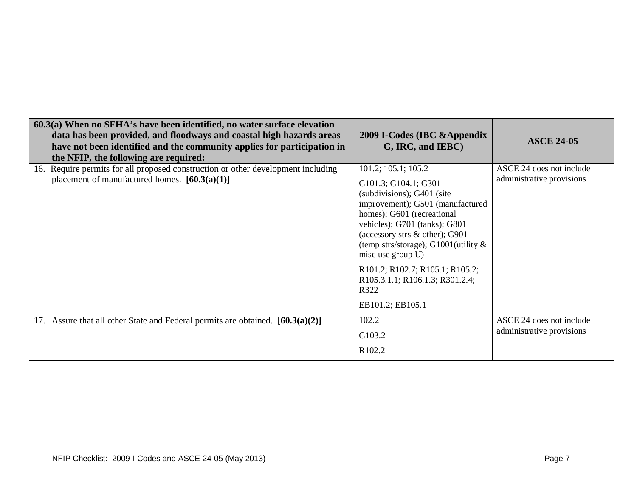| $60.3(a)$ When no SFHA's have been identified, no water surface elevation<br>data has been provided, and floodways and coastal high hazards areas<br>have not been identified and the community applies for participation in<br>the NFIP, the following are required: | 2009 I-Codes (IBC & Appendix<br>G, IRC, and IEBC)                                                                                                                                                                                                                                                                                                                                        | <b>ASCE 24-05</b>                                     |
|-----------------------------------------------------------------------------------------------------------------------------------------------------------------------------------------------------------------------------------------------------------------------|------------------------------------------------------------------------------------------------------------------------------------------------------------------------------------------------------------------------------------------------------------------------------------------------------------------------------------------------------------------------------------------|-------------------------------------------------------|
| 16. Require permits for all proposed construction or other development including<br>placement of manufactured homes. $[60.3(a)(1)]$                                                                                                                                   | $101.2$ ; $105.1$ ; $105.2$<br>G101.3; G104.1; G301<br>(subdivisions); G401 (site<br>improvement); G501 (manufactured<br>homes); G601 (recreational<br>vehicles); G701 (tanks); G801<br>(accessory strs & other); G901<br>(temp strs/storage); G1001(utility $\&$<br>misc use group U)<br>R101.2; R102.7; R105.1; R105.2;<br>R105.3.1.1; R106.1.3; R301.2.4;<br>R322<br>EB101.2; EB105.1 | ASCE 24 does not include<br>administrative provisions |
| 17. Assure that all other State and Federal permits are obtained. $[60.3(a)(2)]$                                                                                                                                                                                      | 102.2<br>G103.2<br>R102.2                                                                                                                                                                                                                                                                                                                                                                | ASCE 24 does not include<br>administrative provisions |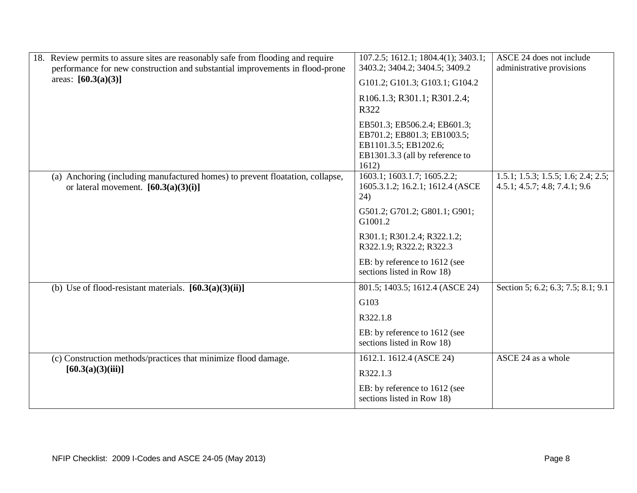| 18. Review permits to assure sites are reasonably safe from flooding and require<br>performance for new construction and substantial improvements in flood-prone<br>areas: $[60.3(a)(3)]$ | 107.2.5; 1612.1; 1804.4(1); 3403.1;<br>3403.2; 3404.2; 3404.5; 3409.2<br>G101.2; G101.3; G103.1; G104.2                          | ASCE 24 does not include<br>administrative provisions                |
|-------------------------------------------------------------------------------------------------------------------------------------------------------------------------------------------|----------------------------------------------------------------------------------------------------------------------------------|----------------------------------------------------------------------|
|                                                                                                                                                                                           | R106.1.3; R301.1; R301.2.4;<br>R322                                                                                              |                                                                      |
|                                                                                                                                                                                           | EB501.3; EB506.2.4; EB601.3;<br>EB701.2; EB801.3; EB1003.5;<br>EB1101.3.5; EB1202.6;<br>EB1301.3.3 (all by reference to<br>1612) |                                                                      |
| (a) Anchoring (including manufactured homes) to prevent floatation, collapse,<br>or lateral movement. $[60.3(a)(3)(i)]$                                                                   | 1603.1; 1603.1.7; 1605.2.2;<br>1605.3.1.2; 16.2.1; 1612.4 (ASCE<br>24)                                                           | 1.5.1; 1.5.3; 1.5.5; 1.6; 2.4; 2.5;<br>4.5.1; 4.5.7; 4.8; 7.4.1; 9.6 |
|                                                                                                                                                                                           | G501.2; G701.2; G801.1; G901;<br>G1001.2                                                                                         |                                                                      |
|                                                                                                                                                                                           | R301.1; R301.2.4; R322.1.2;<br>R322.1.9; R322.2; R322.3                                                                          |                                                                      |
|                                                                                                                                                                                           | EB: by reference to 1612 (see<br>sections listed in Row 18)                                                                      |                                                                      |
| (b) Use of flood-resistant materials. $[60.3(a)(3)(ii)]$                                                                                                                                  | 801.5; 1403.5; 1612.4 (ASCE 24)                                                                                                  | Section 5; 6.2; 6.3; 7.5; 8.1; 9.1                                   |
|                                                                                                                                                                                           | G103                                                                                                                             |                                                                      |
|                                                                                                                                                                                           | R322.1.8                                                                                                                         |                                                                      |
|                                                                                                                                                                                           | EB: by reference to 1612 (see<br>sections listed in Row 18)                                                                      |                                                                      |
| (c) Construction methods/practices that minimize flood damage.                                                                                                                            | 1612.1. 1612.4 (ASCE 24)                                                                                                         | ASCE 24 as a whole                                                   |
| [60.3(a)(3)(iii)]                                                                                                                                                                         | R322.1.3                                                                                                                         |                                                                      |
|                                                                                                                                                                                           | EB: by reference to 1612 (see<br>sections listed in Row 18)                                                                      |                                                                      |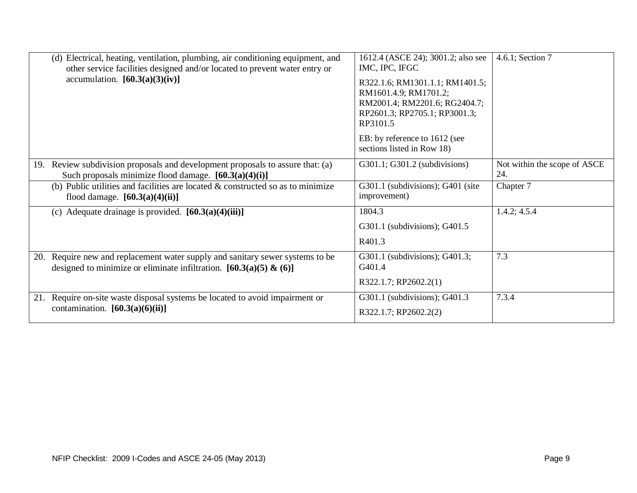|     | (d) Electrical, heating, ventilation, plumbing, air conditioning equipment, and<br>other service facilities designed and/or located to prevent water entry or<br>accumulation. $[60.3(a)(3)(iv)]$ | 1612.4 (ASCE 24); 3001.2; also see<br>IMC, IPC, IFGC<br>R322.1.6; RM1301.1.1; RM1401.5;<br>RM1601.4.9; RM1701.2;<br>RM2001.4; RM2201.6; RG2404.7;<br>RP2601.3; RP2705.1; RP3001.3;<br>RP3101.5<br>EB: by reference to 1612 (see<br>sections listed in Row 18) | 4.6.1; Section 7                    |
|-----|---------------------------------------------------------------------------------------------------------------------------------------------------------------------------------------------------|---------------------------------------------------------------------------------------------------------------------------------------------------------------------------------------------------------------------------------------------------------------|-------------------------------------|
| 19. | Review subdivision proposals and development proposals to assure that: (a)<br>Such proposals minimize flood damage. $[60.3(a)(4)(i)]$                                                             | G301.1; G301.2 (subdivisions)                                                                                                                                                                                                                                 | Not within the scope of ASCE<br>24. |
|     | (b) Public utilities and facilities are located $\&$ constructed so as to minimize<br>flood damage. $[60.3(a)(4)(ii)]$                                                                            | G301.1 (subdivisions); G401 (site<br>improvement)                                                                                                                                                                                                             | Chapter 7                           |
|     | (c) Adequate drainage is provided. $[60.3(a)(4)(iii)]$                                                                                                                                            | 1804.3                                                                                                                                                                                                                                                        | 1.4.2; 4.5.4                        |
|     |                                                                                                                                                                                                   | G301.1 (subdivisions); G401.5                                                                                                                                                                                                                                 |                                     |
|     |                                                                                                                                                                                                   | R401.3                                                                                                                                                                                                                                                        |                                     |
| 20. | Require new and replacement water supply and sanitary sewer systems to be<br>designed to minimize or eliminate infiltration. $[60.3(a)(5) \& (6)]$                                                | G301.1 (subdivisions); G401.3;<br>G401.4                                                                                                                                                                                                                      | 7.3                                 |
|     |                                                                                                                                                                                                   | R322.1.7; RP2602.2(1)                                                                                                                                                                                                                                         |                                     |
| 21. | Require on-site waste disposal systems be located to avoid impairment or                                                                                                                          | G301.1 (subdivisions); G401.3                                                                                                                                                                                                                                 | 7.3.4                               |
|     | contamination. $[60.3(a)(6)(ii)]$                                                                                                                                                                 | R322.1.7; RP2602.2(2)                                                                                                                                                                                                                                         |                                     |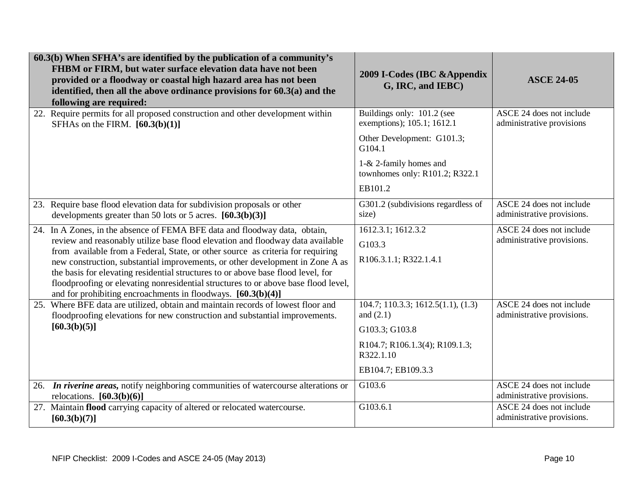| 60.3(b) When SFHA's are identified by the publication of a community's                                                                                                                                                                                                                                                                                                                                                                                                                                                                                                       |                                                                                                                                          |                                                                                                                  |
|------------------------------------------------------------------------------------------------------------------------------------------------------------------------------------------------------------------------------------------------------------------------------------------------------------------------------------------------------------------------------------------------------------------------------------------------------------------------------------------------------------------------------------------------------------------------------|------------------------------------------------------------------------------------------------------------------------------------------|------------------------------------------------------------------------------------------------------------------|
| FHBM or FIRM, but water surface elevation data have not been<br>provided or a floodway or coastal high hazard area has not been<br>identified, then all the above ordinance provisions for $60.3(a)$ and the<br>following are required:                                                                                                                                                                                                                                                                                                                                      | 2009 I-Codes (IBC & Appendix<br>G, IRC, and IEBC)                                                                                        | <b>ASCE 24-05</b>                                                                                                |
| 22. Require permits for all proposed construction and other development within<br>SFHAs on the FIRM. $[60.3(b)(1)]$                                                                                                                                                                                                                                                                                                                                                                                                                                                          | Buildings only: 101.2 (see<br>exemptions); 105.1; 1612.1<br>Other Development: G101.3;<br>G104.1<br>1-& 2-family homes and               | ASCE 24 does not include<br>administrative provisions                                                            |
|                                                                                                                                                                                                                                                                                                                                                                                                                                                                                                                                                                              | townhomes only: R101.2; R322.1<br>EB101.2                                                                                                |                                                                                                                  |
| 23. Require base flood elevation data for subdivision proposals or other<br>developments greater than 50 lots or 5 acres. $[60.3(b)(3)]$                                                                                                                                                                                                                                                                                                                                                                                                                                     | G301.2 (subdivisions regardless of<br>size)                                                                                              | ASCE 24 does not include<br>administrative provisions.                                                           |
| 24. In A Zones, in the absence of FEMA BFE data and floodway data, obtain,<br>review and reasonably utilize base flood elevation and floodway data available<br>from available from a Federal, State, or other source as criteria for requiring<br>new construction, substantial improvements, or other development in Zone A as<br>the basis for elevating residential structures to or above base flood level, for<br>floodproofing or elevating nonresidential structures to or above base flood level,<br>and for prohibiting encroachments in floodways. $[60.3(b)(4)]$ | 1612.3.1; 1612.3.2<br>G103.3<br>R106.3.1.1; R322.1.4.1                                                                                   | ASCE 24 does not include<br>administrative provisions.                                                           |
| 25. Where BFE data are utilized, obtain and maintain records of lowest floor and<br>floodproofing elevations for new construction and substantial improvements.<br>[60.3(b)(5)]                                                                                                                                                                                                                                                                                                                                                                                              | 104.7; 110.3.3; 1612.5(1.1), (1.3)<br>and $(2.1)$<br>G103.3; G103.8<br>R104.7; R106.1.3(4); R109.1.3;<br>R322.1.10<br>EB104.7; EB109.3.3 | ASCE 24 does not include<br>administrative provisions.                                                           |
| 26. In riverine areas, notify neighboring communities of watercourse alterations or<br>relocations. $[60.3(b)(6)]$<br>27. Maintain flood carrying capacity of altered or relocated watercourse.                                                                                                                                                                                                                                                                                                                                                                              | G103.6<br>G103.6.1                                                                                                                       | ASCE 24 does not include<br>administrative provisions.<br>ASCE 24 does not include<br>administrative provisions. |
| [60.3(b)(7)]                                                                                                                                                                                                                                                                                                                                                                                                                                                                                                                                                                 |                                                                                                                                          |                                                                                                                  |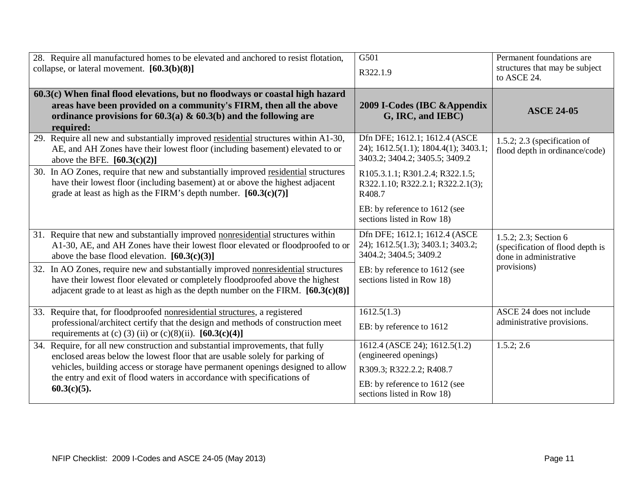| 28. Require all manufactured homes to be elevated and anchored to resist flotation,                                                                | G501                                                                   | Permanent foundations are                              |
|----------------------------------------------------------------------------------------------------------------------------------------------------|------------------------------------------------------------------------|--------------------------------------------------------|
| collapse, or lateral movement. $[60.3(b)(8)]$                                                                                                      | R322.1.9                                                               | structures that may be subject<br>to ASCE 24.          |
| 60.3(c) When final flood elevations, but no floodways or coastal high hazard                                                                       |                                                                        |                                                        |
| areas have been provided on a community's FIRM, then all the above                                                                                 | 2009 I-Codes (IBC & Appendix                                           | <b>ASCE 24-05</b>                                      |
| ordinance provisions for 60.3(a) & 60.3(b) and the following are                                                                                   | G, IRC, and IEBC)                                                      |                                                        |
| required:                                                                                                                                          |                                                                        |                                                        |
| 29. Require all new and substantially improved residential structures within A1-30,                                                                | Dfn DFE; 1612.1; 1612.4 (ASCE                                          | 1.5.2; 2.3 (specification of                           |
| AE, and AH Zones have their lowest floor (including basement) elevated to or                                                                       | 24); 1612.5(1.1); 1804.4(1); 3403.1;<br>3403.2; 3404.2; 3405.5; 3409.2 | flood depth in ordinance/code)                         |
| above the BFE. $[60.3(c)(2)]$                                                                                                                      |                                                                        |                                                        |
| In AO Zones, require that new and substantially improved residential structures<br>30.                                                             | R105.3.1.1; R301.2.4; R322.1.5;                                        |                                                        |
| have their lowest floor (including basement) at or above the highest adjacent<br>grade at least as high as the FIRM's depth number. $[60.3(c)(7)]$ | R322.1.10; R322.2.1; R322.2.1(3);<br>R408.7                            |                                                        |
|                                                                                                                                                    |                                                                        |                                                        |
|                                                                                                                                                    | EB: by reference to 1612 (see                                          |                                                        |
|                                                                                                                                                    | sections listed in Row 18)                                             |                                                        |
| 31. Require that new and substantially improved nonresidential structures within                                                                   | Dfn DFE; 1612.1; 1612.4 (ASCE                                          | 1.5.2; 2.3; Section 6                                  |
| A1-30, AE, and AH Zones have their lowest floor elevated or floodproofed to or                                                                     | 24); 1612.5(1.3); 3403.1; 3403.2;                                      | (specification of flood depth is                       |
| above the base flood elevation. $[60.3(c)(3)]$                                                                                                     | 3404.2; 3404.5; 3409.2                                                 | done in administrative                                 |
| In AO Zones, require new and substantially improved nonresidential structures<br>32.                                                               | EB: by reference to 1612 (see                                          | provisions)                                            |
| have their lowest floor elevated or completely floodproofed above the highest                                                                      | sections listed in Row 18)                                             |                                                        |
| adjacent grade to at least as high as the depth number on the FIRM. $[60.3(c)(8)]$                                                                 |                                                                        |                                                        |
|                                                                                                                                                    |                                                                        |                                                        |
| 33. Require that, for floodproofed nonresidential structures, a registered                                                                         | 1612.5(1.3)                                                            | ASCE 24 does not include<br>administrative provisions. |
| professional/architect certify that the design and methods of construction meet<br>requirements at (c) (3) (ii) or (c)(8)(ii). $[60.3(c)(4)]$      | EB: by reference to 1612                                               |                                                        |
| 34. Require, for all new construction and substantial improvements, that fully                                                                     | 1612.4 (ASCE 24); 1612.5(1.2)                                          | 1.5.2; 2.6                                             |
| enclosed areas below the lowest floor that are usable solely for parking of                                                                        | (engineered openings)                                                  |                                                        |
| vehicles, building access or storage have permanent openings designed to allow                                                                     | R309.3; R322.2.2; R408.7                                               |                                                        |
| the entry and exit of flood waters in accordance with specifications of                                                                            |                                                                        |                                                        |
| $60.3(c)(5)$ .                                                                                                                                     | EB: by reference to 1612 (see<br>sections listed in Row 18)            |                                                        |
|                                                                                                                                                    |                                                                        |                                                        |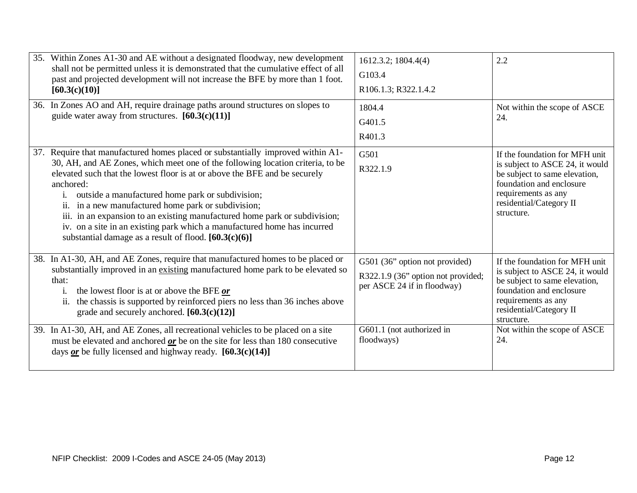| 35. Within Zones A1-30 and AE without a designated floodway, new development<br>shall not be permitted unless it is demonstrated that the cumulative effect of all<br>past and projected development will not increase the BFE by more than 1 foot.<br>[60.3(c)(10)]                                                                                                                                                                                                                                                                                                                                      | 1612.3.2; 1804.4(4)<br>G103.4<br>R106.1.3; R322.1.4.2                                                                                          | 2.2                                                                                                                                                                                                                                   |
|-----------------------------------------------------------------------------------------------------------------------------------------------------------------------------------------------------------------------------------------------------------------------------------------------------------------------------------------------------------------------------------------------------------------------------------------------------------------------------------------------------------------------------------------------------------------------------------------------------------|------------------------------------------------------------------------------------------------------------------------------------------------|---------------------------------------------------------------------------------------------------------------------------------------------------------------------------------------------------------------------------------------|
| 36. In Zones AO and AH, require drainage paths around structures on slopes to<br>guide water away from structures. $[60.3(c)(11)]$                                                                                                                                                                                                                                                                                                                                                                                                                                                                        | 1804.4<br>G401.5<br>R401.3                                                                                                                     | Not within the scope of ASCE<br>24.                                                                                                                                                                                                   |
| 37. Require that manufactured homes placed or substantially improved within A1-<br>30, AH, and AE Zones, which meet one of the following location criteria, to be<br>elevated such that the lowest floor is at or above the BFE and be securely<br>anchored:<br>outside a manufactured home park or subdivision;<br>i.<br>ii. in a new manufactured home park or subdivision;<br>iii. in an expansion to an existing manufactured home park or subdivision;<br>iv. on a site in an existing park which a manufactured home has incurred<br>substantial damage as a result of flood. $[60.3(c)(6)]$        | G501<br>R322.1.9                                                                                                                               | If the foundation for MFH unit<br>is subject to ASCE 24, it would<br>be subject to same elevation,<br>foundation and enclosure<br>requirements as any<br>residential/Category II<br>structure.                                        |
| 38. In A1-30, AH, and AE Zones, require that manufactured homes to be placed or<br>substantially improved in an existing manufactured home park to be elevated so<br>that:<br>the lowest floor is at or above the BFE or<br>1.<br>the chassis is supported by reinforced piers no less than 36 inches above<br>ii.<br>grade and securely anchored. $[60.3(c)(12)]$<br>39. In A1-30, AH, and AE Zones, all recreational vehicles to be placed on a site<br>must be elevated and anchored $or$ be on the site for less than 180 consecutive<br>days $or$ be fully licensed and highway ready. [60.3(c)(14)] | G501 (36" option not provided)<br>R322.1.9 (36" option not provided;<br>per ASCE 24 if in floodway)<br>G601.1 (not authorized in<br>floodways) | If the foundation for MFH unit<br>is subject to ASCE 24, it would<br>be subject to same elevation,<br>foundation and enclosure<br>requirements as any<br>residential/Category II<br>structure.<br>Not within the scope of ASCE<br>24. |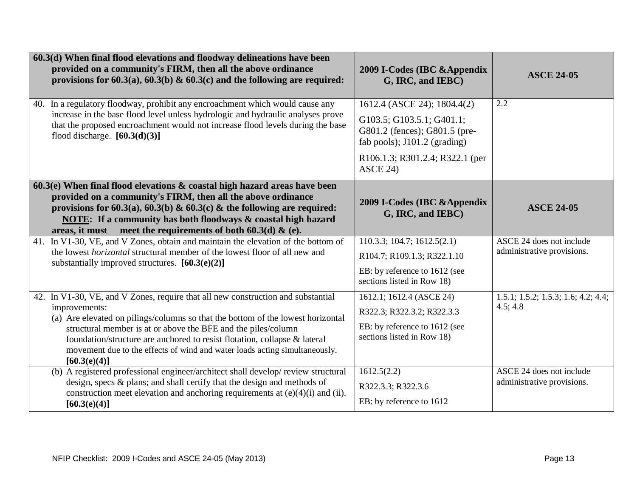| $60.3(d)$ When final flood elevations and floodway delineations have been<br>provided on a community's FIRM, then all the above ordinance<br>provisions for 60.3(a), 60.3(b) & 60.3(c) and the following are required:                                                                                                                                                                                                           | 2009 I-Codes (IBC & Appendix<br>G, IRC, and IEBC)                                                                                                                        | <b>ASCE 24-05</b>                                      |
|----------------------------------------------------------------------------------------------------------------------------------------------------------------------------------------------------------------------------------------------------------------------------------------------------------------------------------------------------------------------------------------------------------------------------------|--------------------------------------------------------------------------------------------------------------------------------------------------------------------------|--------------------------------------------------------|
| In a regulatory floodway, prohibit any encroachment which would cause any<br>40.<br>increase in the base flood level unless hydrologic and hydraulic analyses prove<br>that the proposed encroachment would not increase flood levels during the base<br>flood discharge. $[60.3(d)(3)]$                                                                                                                                         | 1612.4 (ASCE 24); 1804.4(2)<br>G103.5; G103.5.1; G401.1;<br>G801.2 (fences); G801.5 (pre-<br>fab pools); J101.2 (grading)<br>R106.1.3; R301.2.4; R322.1 (per<br>ASCE 24) | 2.2                                                    |
| $60.3(e)$ When final flood elevations $\&$ coastal high hazard areas have been<br>provided on a community's FIRM, then all the above ordinance<br>provisions for 60.3(a), 60.3(b) & 60.3(c) & the following are required:<br>NOTE: If a community has both floodways & coastal high hazard<br>areas, it must meet the requirements of both $60.3(d)$ & (e).                                                                      | 2009 I-Codes (IBC & Appendix<br>G, IRC, and IEBC)                                                                                                                        | <b>ASCE 24-05</b>                                      |
| 41. In V1-30, VE, and V Zones, obtain and maintain the elevation of the bottom of<br>the lowest <i>horizontal</i> structural member of the lowest floor of all new and<br>substantially improved structures. $[60.3(e)(2)]$                                                                                                                                                                                                      | $110.3.3$ ; 104.7; 1612.5(2.1)<br>R104.7; R109.1.3; R322.1.10<br>EB: by reference to 1612 (see<br>sections listed in Row 18)                                             | ASCE 24 does not include<br>administrative provisions. |
| 42. In V1-30, VE, and V Zones, require that all new construction and substantial<br>improvements:<br>(a) Are elevated on pilings/columns so that the bottom of the lowest horizontal<br>structural member is at or above the BFE and the piles/column<br>foundation/structure are anchored to resist flotation, collapse & lateral<br>movement due to the effects of wind and water loads acting simultaneously.<br>[60.3(e)(4)] | 1612.1; 1612.4 (ASCE 24)<br>R322.3; R322.3.2; R322.3.3<br>EB: by reference to 1612 (see<br>sections listed in Row 18)                                                    | 1.5.1; 1.5.2; 1.5.3; 1.6; 4.2; 4.4;<br>4.5; 4.8        |
| (b) A registered professional engineer/architect shall develop/ review structural<br>design, specs & plans; and shall certify that the design and methods of<br>construction meet elevation and anchoring requirements at $(e)(4)(i)$ and $(ii)$ .<br>[60.3(e)(4)]                                                                                                                                                               | 1612.5(2.2)<br>R322.3.3; R322.3.6<br>EB: by reference to 1612                                                                                                            | ASCE 24 does not include<br>administrative provisions. |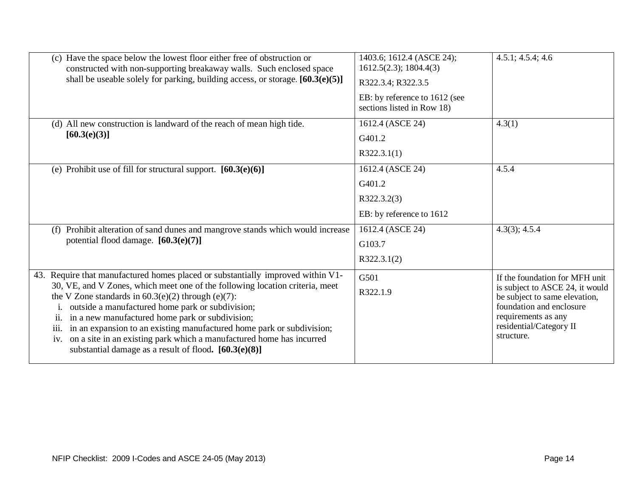| (c) Have the space below the lowest floor either free of obstruction or<br>constructed with non-supporting breakaway walls. Such enclosed space              | 1403.6; 1612.4 (ASCE 24);<br>1612.5(2.3); 1804.4(3)         | 4.5.1; 4.5.4; 4.6                                                |
|--------------------------------------------------------------------------------------------------------------------------------------------------------------|-------------------------------------------------------------|------------------------------------------------------------------|
| shall be useable solely for parking, building access, or storage. $[60.3(e)(5)]$                                                                             | R322.3.4; R322.3.5                                          |                                                                  |
|                                                                                                                                                              | EB: by reference to 1612 (see<br>sections listed in Row 18) |                                                                  |
| (d) All new construction is landward of the reach of mean high tide.                                                                                         | 1612.4 (ASCE 24)                                            | 4.3(1)                                                           |
| [60.3(e)(3)]                                                                                                                                                 | G401.2                                                      |                                                                  |
|                                                                                                                                                              | R322.3.1(1)                                                 |                                                                  |
| (e) Prohibit use of fill for structural support. $[60.3(e)(6)]$                                                                                              | 1612.4 (ASCE 24)                                            | 4.5.4                                                            |
|                                                                                                                                                              | G401.2                                                      |                                                                  |
|                                                                                                                                                              | R322.3.2(3)                                                 |                                                                  |
|                                                                                                                                                              | EB: by reference to 1612                                    |                                                                  |
| Prohibit alteration of sand dunes and mangrove stands which would increase<br>(f)                                                                            | 1612.4 (ASCE 24)                                            | 4.3(3); 4.5.4                                                    |
| potential flood damage. [60.3(e)(7)]                                                                                                                         | G103.7                                                      |                                                                  |
|                                                                                                                                                              | R322.3.1(2)                                                 |                                                                  |
| 43. Require that manufactured homes placed or substantially improved within V1-                                                                              | G501                                                        | If the foundation for MFH unit                                   |
| 30, VE, and V Zones, which meet one of the following location criteria, meet<br>the V Zone standards in $60.3(e)(2)$ through $(e)(7)$ :                      | R322.1.9                                                    | is subject to ASCE 24, it would<br>be subject to same elevation, |
| outside a manufactured home park or subdivision;                                                                                                             |                                                             | foundation and enclosure                                         |
| in a new manufactured home park or subdivision;<br>$\overline{\mathbf{u}}$ .                                                                                 |                                                             | requirements as any<br>residential/Category II                   |
| in an expansion to an existing manufactured home park or subdivision;<br>111.<br>on a site in an existing park which a manufactured home has incurred<br>1V. |                                                             | structure.                                                       |
| substantial damage as a result of flood. $[60.3(e)(8)]$                                                                                                      |                                                             |                                                                  |
|                                                                                                                                                              |                                                             |                                                                  |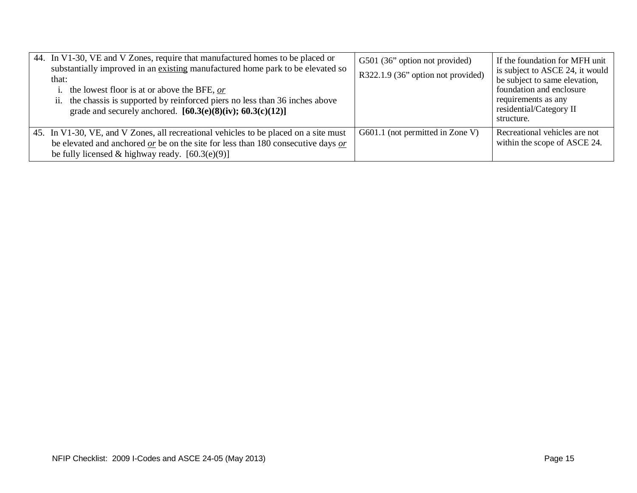| 44. In V1-30, VE and V Zones, require that manufactured homes to be placed or<br>substantially improved in an existing manufactured home park to be elevated so<br>that:<br>i. the lowest floor is at or above the BFE, $or$<br>ii. the chassis is supported by reinforced piers no less than 36 inches above<br>grade and securely anchored. $[60.3(e)(8)(iv); 60.3(c)(12)]$ | G501 (36" option not provided)<br>R322.1.9 (36" option not provided) | If the foundation for MFH unit<br>is subject to ASCE 24, it would<br>be subject to same elevation,<br>foundation and enclosure<br>requirements as any<br>residential/Category II<br>structure. |
|-------------------------------------------------------------------------------------------------------------------------------------------------------------------------------------------------------------------------------------------------------------------------------------------------------------------------------------------------------------------------------|----------------------------------------------------------------------|------------------------------------------------------------------------------------------------------------------------------------------------------------------------------------------------|
| 45. In V1-30, VE, and V Zones, all recreational vehicles to be placed on a site must<br>be elevated and anchored $\sigma r$ be on the site for less than 180 consecutive days $\sigma r$<br>be fully licensed & highway ready. $[60.3(e)(9)]$                                                                                                                                 | G601.1 (not permitted in Zone V)                                     | Recreational vehicles are not<br>within the scope of ASCE 24.                                                                                                                                  |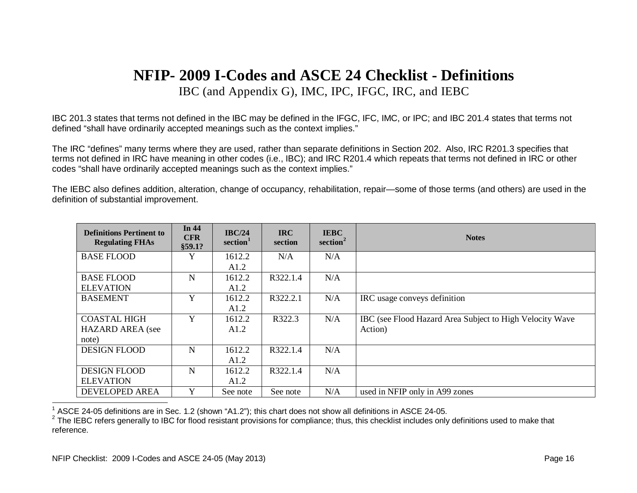## <span id="page-15-1"></span><span id="page-15-0"></span>**NFIP- 2009 I-Codes and ASCE 24 Checklist - Definitions** IBC (and Appendix G), IMC, IPC, IFGC, IRC, and IEBC

IBC 201.3 states that terms not defined in the IBC may be defined in the IFGC, IFC, IMC, or IPC; and IBC 201.4 states that terms not defined "shall have ordinarily accepted meanings such as the context implies."

The IRC "defines" many terms where they are used, rather than separate definitions in Section 202. Also, IRC R201.3 specifies that terms not defined in IRC have meaning in other codes (i.e., IBC); and IRC R201.4 which repeats that terms not defined in IRC or other codes "shall have ordinarily accepted meanings such as the context implies."

The IEBC also defines addition, alteration, change of occupancy, rehabilitation, repair—some of those terms (and others) are used in the definition of substantial improvement.

| <b>Definitions Pertinent to</b><br><b>Regulating FHAs</b> | In 44<br><b>CFR</b><br>\$59.1? | IBC/24<br>section <sup>1</sup> | <b>IRC</b><br>section | <b>IEBC</b><br>section <sup>2</sup> | <b>Notes</b>                                             |
|-----------------------------------------------------------|--------------------------------|--------------------------------|-----------------------|-------------------------------------|----------------------------------------------------------|
| <b>BASE FLOOD</b>                                         | Y                              | 1612.2                         | N/A                   | N/A                                 |                                                          |
|                                                           |                                | A1.2                           |                       |                                     |                                                          |
| <b>BASE FLOOD</b>                                         | N                              | 1612.2                         | R322.1.4              | N/A                                 |                                                          |
| <b>ELEVATION</b>                                          |                                | A1.2                           |                       |                                     |                                                          |
| <b>BASEMENT</b>                                           | Y                              | 1612.2                         | R322.2.1              | N/A                                 | IRC usage conveys definition                             |
|                                                           |                                | A1.2                           |                       |                                     |                                                          |
| <b>COASTAL HIGH</b>                                       | Y                              | 1612.2                         | R322.3                | N/A                                 | IBC (see Flood Hazard Area Subject to High Velocity Wave |
| <b>HAZARD AREA</b> (see                                   |                                | A1.2                           |                       |                                     | Action)                                                  |
| note)                                                     |                                |                                |                       |                                     |                                                          |
| <b>DESIGN FLOOD</b>                                       | N                              | 1612.2                         | R322.1.4              | N/A                                 |                                                          |
|                                                           |                                | A1.2                           |                       |                                     |                                                          |
| <b>DESIGN FLOOD</b>                                       | N                              | 1612.2                         | R322.1.4              | N/A                                 |                                                          |
| <b>ELEVATION</b>                                          |                                | A1.2                           |                       |                                     |                                                          |
| <b>DEVELOPED AREA</b>                                     | Y                              | See note                       | See note              | N/A                                 | used in NFIP only in A99 zones                           |

 $1$  ASCE 24-05 definitions are in Sec. 1.2 (shown "A1.2"); this chart does not show all definitions in ASCE 24-05.

 $^{2}$  The IEBC refers generally to IBC for flood resistant provisions for compliance; thus, this checklist includes only definitions used to make that reference.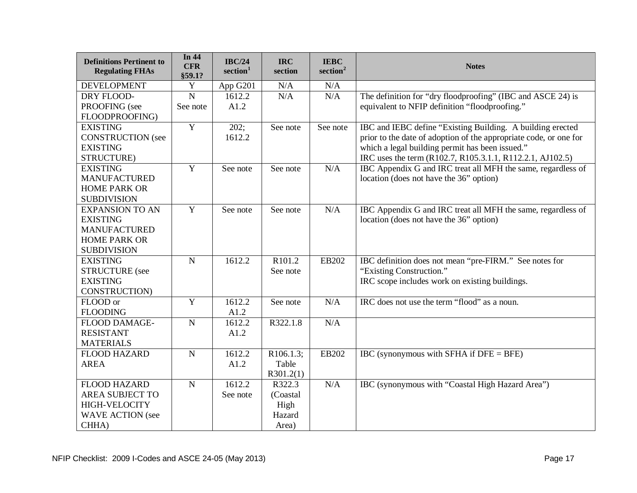| <b>Definitions Pertinent to</b><br><b>Regulating FHAs</b> | In 44<br><b>CFR</b><br>§59.1? | <b>IBC/24</b><br>section <sup>1</sup> | <b>IRC</b><br>section | <b>IEBC</b><br>section <sup>2</sup> | <b>Notes</b>                                                      |
|-----------------------------------------------------------|-------------------------------|---------------------------------------|-----------------------|-------------------------------------|-------------------------------------------------------------------|
| <b>DEVELOPMENT</b>                                        | $\mathbf Y$                   | App G201                              | N/A                   | N/A                                 |                                                                   |
| DRY FLOOD-                                                | $\overline{N}$                | 1612.2                                | N/A                   | N/A                                 | The definition for "dry floodproofing" (IBC and ASCE 24) is       |
| PROOFING (see                                             | See note                      | A1.2                                  |                       |                                     | equivalent to NFIP definition "floodproofing."                    |
| FLOODPROOFING)                                            |                               |                                       |                       |                                     |                                                                   |
| <b>EXISTING</b>                                           | $\overline{Y}$                | 202;                                  | See note              | See note                            | IBC and IEBC define "Existing Building. A building erected        |
| <b>CONSTRUCTION</b> (see                                  |                               | 1612.2                                |                       |                                     | prior to the date of adoption of the appropriate code, or one for |
| <b>EXISTING</b>                                           |                               |                                       |                       |                                     | which a legal building permit has been issued."                   |
| STRUCTURE)                                                |                               |                                       |                       |                                     | IRC uses the term (R102.7, R105.3.1.1, R112.2.1, AJ102.5)         |
| <b>EXISTING</b>                                           | $\overline{Y}$                | See note                              | See note              | N/A                                 | IBC Appendix G and IRC treat all MFH the same, regardless of      |
| <b>MANUFACTURED</b>                                       |                               |                                       |                       |                                     | location (does not have the 36" option)                           |
| <b>HOME PARK OR</b>                                       |                               |                                       |                       |                                     |                                                                   |
| <b>SUBDIVISION</b>                                        |                               |                                       |                       |                                     |                                                                   |
| <b>EXPANSION TO AN</b>                                    | $\overline{Y}$                | See note                              | See note              | N/A                                 | IBC Appendix G and IRC treat all MFH the same, regardless of      |
| <b>EXISTING</b>                                           |                               |                                       |                       |                                     | location (does not have the 36" option)                           |
| <b>MANUFACTURED</b>                                       |                               |                                       |                       |                                     |                                                                   |
| <b>HOME PARK OR</b>                                       |                               |                                       |                       |                                     |                                                                   |
| <b>SUBDIVISION</b>                                        |                               |                                       |                       |                                     |                                                                   |
| <b>EXISTING</b>                                           | $\overline{N}$                | 1612.2                                | R <sub>101.2</sub>    | EB202                               | IBC definition does not mean "pre-FIRM." See notes for            |
| <b>STRUCTURE</b> (see                                     |                               |                                       | See note              |                                     | "Existing Construction."                                          |
| <b>EXISTING</b>                                           |                               |                                       |                       |                                     | IRC scope includes work on existing buildings.                    |
| CONSTRUCTION)                                             |                               |                                       |                       |                                     |                                                                   |
| FLOOD or                                                  | $\overline{Y}$                | 1612.2                                | See note              | N/A                                 | IRC does not use the term "flood" as a noun.                      |
| <b>FLOODING</b>                                           |                               | A1.2                                  |                       |                                     |                                                                   |
| FLOOD DAMAGE-                                             | ${\bf N}$                     | 1612.2                                | R322.1.8              | N/A                                 |                                                                   |
| <b>RESISTANT</b>                                          |                               | A1.2                                  |                       |                                     |                                                                   |
| <b>MATERIALS</b>                                          |                               |                                       |                       |                                     |                                                                   |
| <b>FLOOD HAZARD</b>                                       | $\overline{N}$                | 1612.2                                | R106.1.3;             | EB202                               | IBC (synonymous with SFHA if $DFE = BFE$ )                        |
| <b>AREA</b>                                               |                               | A1.2                                  | Table                 |                                     |                                                                   |
|                                                           |                               |                                       | R301.2(1)             |                                     |                                                                   |
| <b>FLOOD HAZARD</b>                                       | $\overline{N}$                | 1612.2                                | R322.3                | N/A                                 | IBC (synonymous with "Coastal High Hazard Area")                  |
| <b>AREA SUBJECT TO</b>                                    |                               | See note                              | (Coastal)             |                                     |                                                                   |
| <b>HIGH-VELOCITY</b>                                      |                               |                                       | High                  |                                     |                                                                   |
| <b>WAVE ACTION</b> (see                                   |                               |                                       | Hazard                |                                     |                                                                   |
| CHHA)                                                     |                               |                                       | Area)                 |                                     |                                                                   |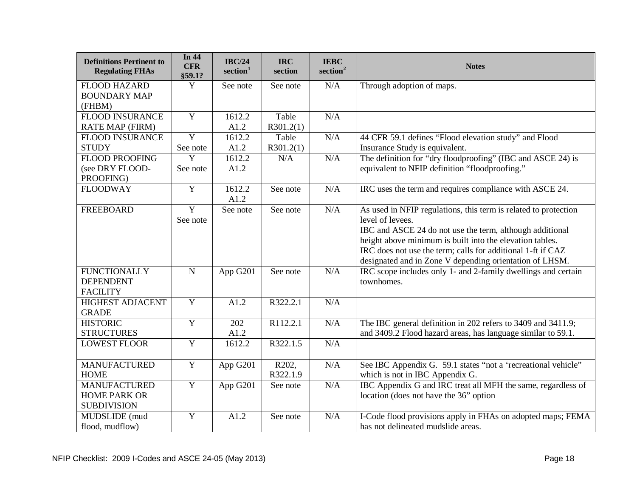| <b>Definitions Pertinent to</b><br><b>Regulating FHAs</b> | In 44<br><b>CFR</b><br>\$59.1? | <b>IBC/24</b><br>section <sup>1</sup> | <b>IRC</b><br>section | <b>IEBC</b><br>section <sup>2</sup> | <b>Notes</b>                                                    |
|-----------------------------------------------------------|--------------------------------|---------------------------------------|-----------------------|-------------------------------------|-----------------------------------------------------------------|
| <b>FLOOD HAZARD</b>                                       | $\overline{Y}$                 | See note                              | See note              | N/A                                 | Through adoption of maps.                                       |
| <b>BOUNDARY MAP</b>                                       |                                |                                       |                       |                                     |                                                                 |
| (FHBM)                                                    |                                |                                       |                       |                                     |                                                                 |
| <b>FLOOD INSURANCE</b>                                    | Y                              | 1612.2                                | Table                 | N/A                                 |                                                                 |
| <b>RATE MAP (FIRM)</b>                                    |                                | A1.2                                  | R301.2(1)             |                                     |                                                                 |
| <b>FLOOD INSURANCE</b>                                    | $\overline{Y}$                 | 1612.2                                | Table                 | N/A                                 | 44 CFR 59.1 defines "Flood elevation study" and Flood           |
| <b>STUDY</b>                                              | See note                       | A1.2                                  | R301.2(1)             |                                     | Insurance Study is equivalent.                                  |
| <b>FLOOD PROOFING</b>                                     | $\overline{Y}$                 | 1612.2                                | N/A                   | N/A                                 | The definition for "dry floodproofing" (IBC and ASCE 24) is     |
| (see DRY FLOOD-                                           | See note                       | A1.2                                  |                       |                                     | equivalent to NFIP definition "floodproofing."                  |
| PROOFING)                                                 |                                |                                       |                       |                                     |                                                                 |
| <b>FLOODWAY</b>                                           | Y                              | 1612.2<br>A1.2                        | See note              | N/A                                 | IRC uses the term and requires compliance with ASCE 24.         |
| <b>FREEBOARD</b>                                          | $\overline{Y}$                 | See note                              | See note              | N/A                                 | As used in NFIP regulations, this term is related to protection |
|                                                           | See note                       |                                       |                       |                                     | level of levees.                                                |
|                                                           |                                |                                       |                       |                                     | IBC and ASCE 24 do not use the term, although additional        |
|                                                           |                                |                                       |                       |                                     | height above minimum is built into the elevation tables.        |
|                                                           |                                |                                       |                       |                                     | IRC does not use the term; calls for additional 1-ft if CAZ     |
|                                                           |                                |                                       |                       |                                     | designated and in Zone V depending orientation of LHSM.         |
| <b>FUNCTIONALLY</b>                                       | $\mathbf N$                    | App G201                              | See note              | N/A                                 | IRC scope includes only 1- and 2-family dwellings and certain   |
| <b>DEPENDENT</b>                                          |                                |                                       |                       |                                     | townhomes.                                                      |
| <b>FACILITY</b>                                           |                                |                                       |                       |                                     |                                                                 |
| <b>HIGHEST ADJACENT</b>                                   | Y                              | A1.2                                  | R322.2.1              | N/A                                 |                                                                 |
| <b>GRADE</b>                                              |                                |                                       |                       |                                     |                                                                 |
| <b>HISTORIC</b>                                           | $\overline{Y}$                 | 202                                   | R112.2.1              | N/A                                 | The IBC general definition in 202 refers to 3409 and 3411.9;    |
| <b>STRUCTURES</b>                                         |                                | A1.2                                  |                       |                                     | and 3409.2 Flood hazard areas, has language similar to 59.1.    |
| <b>LOWEST FLOOR</b>                                       | $\overline{Y}$                 | 1612.2                                | R322.1.5              | N/A                                 |                                                                 |
|                                                           |                                |                                       |                       |                                     |                                                                 |
| <b>MANUFACTURED</b>                                       | $\mathbf Y$                    | App G201                              | R202,                 | N/A                                 | See IBC Appendix G. 59.1 states "not a 'recreational vehicle"   |
| <b>HOME</b>                                               |                                |                                       | R322.1.9              |                                     | which is not in IBC Appendix G.                                 |
| <b>MANUFACTURED</b>                                       | Y                              | App G201                              | See note              | N/A                                 | IBC Appendix G and IRC treat all MFH the same, regardless of    |
| <b>HOME PARK OR</b>                                       |                                |                                       |                       |                                     | location (does not have the 36" option                          |
| <b>SUBDIVISION</b>                                        |                                |                                       |                       |                                     |                                                                 |
| MUDSLIDE (mud                                             | $\overline{Y}$                 | A1.2                                  | See note              | N/A                                 | I-Code flood provisions apply in FHAs on adopted maps; FEMA     |
| flood, mudflow)                                           |                                |                                       |                       |                                     | has not delineated mudslide areas.                              |